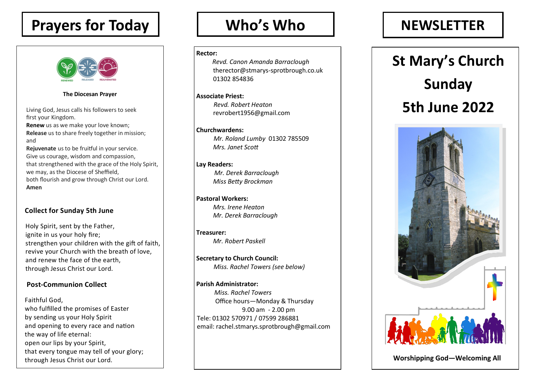# **Prayers for Today**



**The Diocesan Prayer** 

Living God, Jesus calls his followers to seek first your Kingdom.

**Renew** us as we make your love known; **Release** us to share freely together in mission; and

**Rejuvenate** us to be fruitful in your service. Give us courage, wisdom and compassion, that strengthened with the grace of the Holy Spirit, we may, as the Diocese of Sheffield, both flourish and grow through Christ our Lord. **Amen** 

### **Collect for Sunday 5th June**

Holy Spirit, sent by the Father, ignite in us your holy fire; strengthen your children with the gift of faith, revive your Church with the breath of love, and renew the face of the earth, through Jesus Christ our Lord.

### **Post-Communion Collect**

Faithful God, who fulfilled the promises of Easter by sending us your Holy Spirit and opening to every race and nation the way of life eternal: open our lips by your Spirit, that every tongue may tell of your glory; through Jesus Christ our Lord.

#### **Rector:**

*Revd. Canon Amanda Barraclough* therector@stmarys-sprotbrough.co.uk 01302 854836

**Associate Priest:** *Revd. Robert Heaton* revrobert1956@gmail.com

**Churchwardens:** *Mr. Roland Lumby* 01302 785509 *Mrs. Janet Scott* 

### **Lay Readers:**

*Mr. Derek Barraclough Miss Betty Brockman*

**Pastoral Workers:** *Mrs. Irene Heaton Mr. Derek Barraclough*

**Treasurer:** *Mr. Robert Paskell*

**Secretary to Church Council:** *Miss. Rachel Towers (see below)*

#### **Parish Administrator:**

*Miss. Rachel Towers* Office hours—Monday & Thursday 9.00 am - 2.00 pm Tele: 01302 570971 / 07599 286881 email: rachel.stmarys.sprotbrough@gmail.com

### Who's Who  $\qquad$  | NEWSLETTER

# **St Mary's Church Sunday 5th June 2022**



 **Worshipping God—Welcoming All**